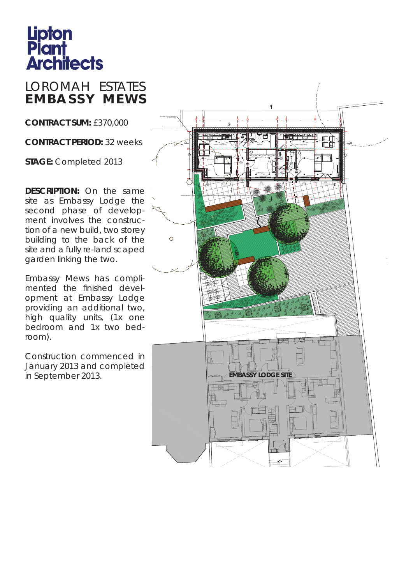## **Lipton<br>Plant<br>Architects**

## LOROMAH ESTATES **E M B A S S Y M E W S**

**CONTRACT SUM:** £370,000

**CONTRACT PERIOD:** 32 weeks

**STAGE:** Completed 2013

**DESCRIPTION:** On the same site as Embassy Lodge the second phase of development involves the construction of a new build, two storey building to the back of the site and a fully re-land scaped garden linking the two.

Embassy Mews has complimented the finished development at Embassy Lodge providing an additional two, high quality units, (1x one bedroom and 1x two bedroom).

Construction commenced in January 2013 and completed in September 2013.